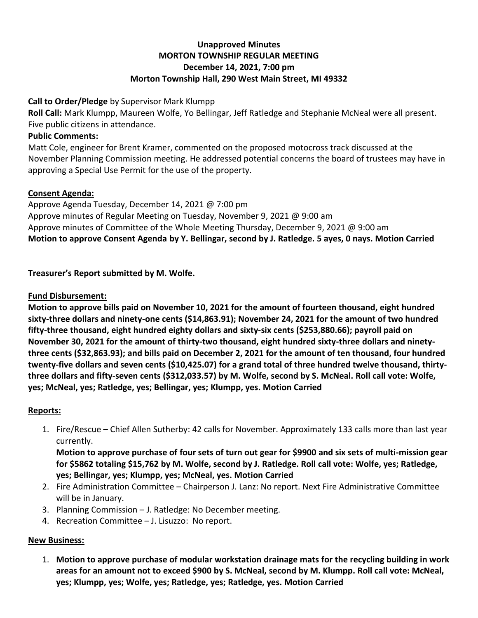## **Unapproved Minutes MORTON TOWNSHIP REGULAR MEETING December 14, 2021, 7:00 pm Morton Township Hall, 290 West Main Street, MI 49332**

#### **Call to Order/Pledge** by Supervisor Mark Klumpp

**Roll Call:** Mark Klumpp, Maureen Wolfe, Yo Bellingar, Jeff Ratledge and Stephanie McNeal were all present. Five public citizens in attendance.

#### **Public Comments:**

Matt Cole, engineer for Brent Kramer, commented on the proposed motocross track discussed at the November Planning Commission meeting. He addressed potential concerns the board of trustees may have in approving a Special Use Permit for the use of the property.

## **Consent Agenda:**

Approve Agenda Tuesday, December 14, 2021 @ 7:00 pm Approve minutes of Regular Meeting on Tuesday, November 9, 2021 @ 9:00 am Approve minutes of Committee of the Whole Meeting Thursday, December 9, 2021 @ 9:00 am **Motion to approve Consent Agenda by Y. Bellingar, second by J. Ratledge. 5 ayes, 0 nays. Motion Carried**

**Treasurer's Report submitted by M. Wolfe.**

# **Fund Disbursement:**

**Motion to approve bills paid on November 10, 2021 for the amount of fourteen thousand, eight hundred sixty-three dollars and ninety-one cents (\$14,863.91); November 24, 2021 for the amount of two hundred fifty-three thousand, eight hundred eighty dollars and sixty-six cents (\$253,880.66); payroll paid on November 30, 2021 for the amount of thirty-two thousand, eight hundred sixty-three dollars and ninetythree cents (\$32,863.93); and bills paid on December 2, 2021 for the amount of ten thousand, four hundred twenty-five dollars and seven cents (\$10,425.07) for a grand total of three hundred twelve thousand, thirtythree dollars and fifty-seven cents (\$312,033.57) by M. Wolfe, second by S. McNeal. Roll call vote: Wolfe, yes; McNeal, yes; Ratledge, yes; Bellingar, yes; Klumpp, yes. Motion Carried**

# **Reports:**

1. Fire/Rescue – Chief Allen Sutherby: 42 calls for November. Approximately 133 calls more than last year currently.

**Motion to approve purchase of four sets of turn out gear for \$9900 and six sets of multi-mission gear for \$5862 totaling \$15,762 by M. Wolfe, second by J. Ratledge. Roll call vote: Wolfe, yes; Ratledge, yes; Bellingar, yes; Klumpp, yes; McNeal, yes. Motion Carried**

- 2. Fire Administration Committee Chairperson J. Lanz: No report. Next Fire Administrative Committee will be in January.
- 3. Planning Commission J. Ratledge: No December meeting.
- 4. Recreation Committee J. Lisuzzo: No report.

# **New Business:**

1. **Motion to approve purchase of modular workstation drainage mats for the recycling building in work areas for an amount not to exceed \$900 by S. McNeal, second by M. Klumpp. Roll call vote: McNeal, yes; Klumpp, yes; Wolfe, yes; Ratledge, yes; Ratledge, yes. Motion Carried**